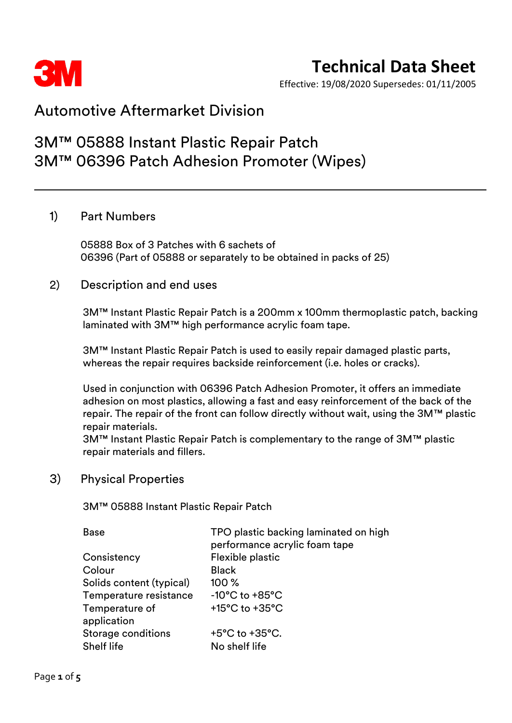

## **Technical Data Sheet**

Effective: 19/08/2020 Supersedes: 01/11/2005

### Automotive Aftermarket Division

## 3M™ 05888 Instant Plastic Repair Patch 3M™ 06396 Patch Adhesion Promoter (Wipes)

### 1) Part Numbers

05888 Box of 3 Patches with 6 sachets of 06396 (Part of 05888 or separately to be obtained in packs of 25)

### 2) Description and end uses

3M™ Instant Plastic Repair Patch is a 200mm x 100mm thermoplastic patch, backing laminated with 3M™ high performance acrylic foam tape.

3M™ Instant Plastic Repair Patch is used to easily repair damaged plastic parts, whereas the repair requires backside reinforcement (i.e. holes or cracks).

Used in conjunction with 06396 Patch Adhesion Promoter, it offers an immediate adhesion on most plastics, allowing a fast and easy reinforcement of the back of the repair. The repair of the front can follow directly without wait, using the 3M™ plastic repair materials.

3M™ Instant Plastic Repair Patch is complementary to the range of 3M™ plastic repair materials and fillers.

### 3) Physical Properties

3M™ 05888 Instant Plastic Repair Patch

| Base                          | TPO plastic backing laminated on high<br>performance acrylic foam tape |
|-------------------------------|------------------------------------------------------------------------|
| Consistency                   | Flexible plastic                                                       |
| Colour                        | <b>Black</b>                                                           |
| Solids content (typical)      | $100\%$                                                                |
| Temperature resistance        | $-10^{\circ}$ C to $+85^{\circ}$ C                                     |
| Temperature of<br>application | $+15^{\circ}$ C to $+35^{\circ}$ C                                     |
| <b>Storage conditions</b>     | $+5^{\circ}$ C to $+35^{\circ}$ C.                                     |
| Shelf life                    | No shelf life                                                          |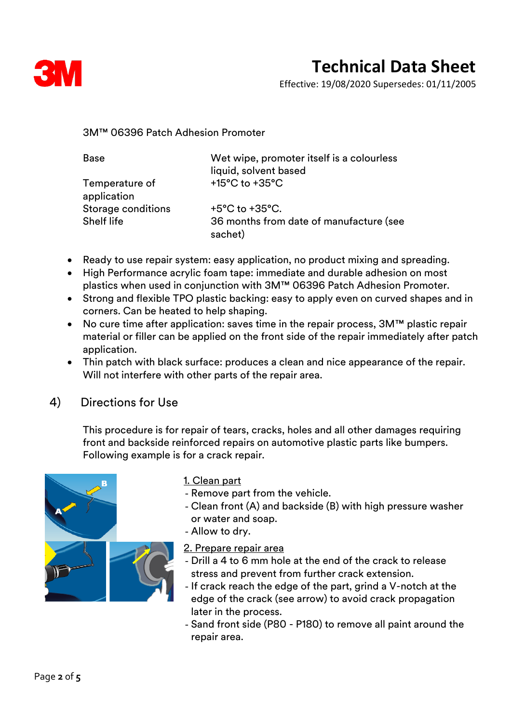

Effective: 19/08/2020 Supersedes: 01/11/2005

3M™ 06396 Patch Adhesion Promoter

| Base                          | Wet wipe, promoter itself is a colourless<br>liquid, solvent based |
|-------------------------------|--------------------------------------------------------------------|
| Temperature of<br>application | $+15^{\circ}$ C to $+35^{\circ}$ C                                 |
| <b>Storage conditions</b>     | $+5^{\circ}$ C to $+35^{\circ}$ C.                                 |
| Shelf life                    | 36 months from date of manufacture (see<br>sachet)                 |

- Ready to use repair system: easy application, no product mixing and spreading.
- High Performance acrylic foam tape: immediate and durable adhesion on most plastics when used in conjunction with 3M™ 06396 Patch Adhesion Promoter.
- Strong and flexible TPO plastic backing: easy to apply even on curved shapes and in corners. Can be heated to help shaping.
- No cure time after application: saves time in the repair process, 3M™ plastic repair material or filler can be applied on the front side of the repair immediately after patch application.
- Thin patch with black surface: produces a clean and nice appearance of the repair. Will not interfere with other parts of the repair area.

4) Directions for Use

This procedure is for repair of tears, cracks, holes and all other damages requiring front and backside reinforced repairs on automotive plastic parts like bumpers. Following example is for a crack repair.



1. Clean part

- Remove part from the vehicle.
- Clean front (A) and backside (B) with high pressure washer or water and soap.
- Allow to dry.
- 2. Prepare repair area
- Drill a 4 to 6 mm hole at the end of the crack to release stress and prevent from further crack extension.
- If crack reach the edge of the part, grind a V-notch at the edge of the crack (see arrow) to avoid crack propagation later in the process.
- Sand front side (P80 P180) to remove all paint around the repair area.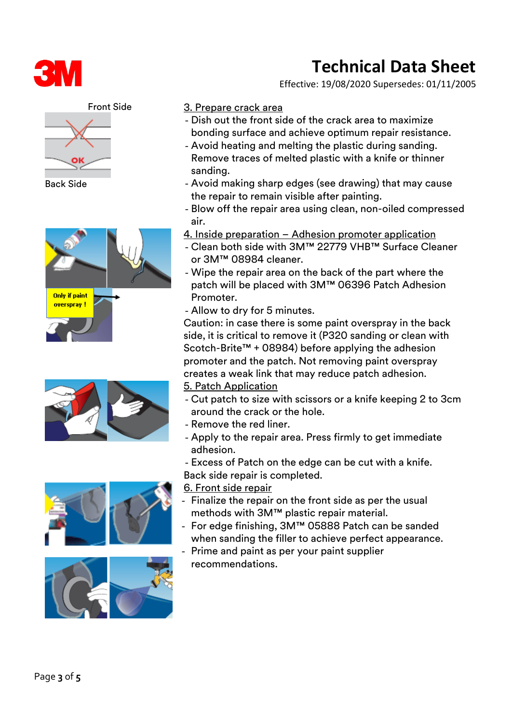

### Front Side



Back Side











### 3. Prepare crack area

- Dish out the front side of the crack area to maximize bonding surface and achieve optimum repair resistance.
- Avoid heating and melting the plastic during sanding. Remove traces of melted plastic with a knife or thinner sanding.
- Avoid making sharp edges (see drawing) that may cause the repair to remain visible after painting.
- Blow off the repair area using clean, non-oiled compressed air.
- 4. Inside preparation Adhesion promoter application
- Clean both side with 3M™ 22779 VHB™ Surface Cleaner or 3M™ 08984 cleaner.
- Wipe the repair area on the back of the part where the patch will be placed with 3M™ 06396 Patch Adhesion Promoter.
- Allow to dry for 5 minutes.

Caution: in case there is some paint overspray in the back side, it is critical to remove it (P320 sanding or clean with Scotch-Brite™ + 08984) before applying the adhesion promoter and the patch. Not removing paint overspray creates a weak link that may reduce patch adhesion. 5. Patch Application

- Cut patch to size with scissors or a knife keeping 2 to 3cm around the crack or the hole.
- Remove the red liner.
- Apply to the repair area. Press firmly to get immediate adhesion.
- Excess of Patch on the edge can be cut with a knife. Back side repair is completed.

6. Front side repair

- Finalize the repair on the front side as per the usual methods with 3M™ plastic repair material.
- For edge finishing, 3M™ 05888 Patch can be sanded when sanding the filler to achieve perfect appearance.
- Prime and paint as per your paint supplier recommendations.

# **Technical Data Sheet**

Effective: 19/08/2020 Supersedes: 01/11/2005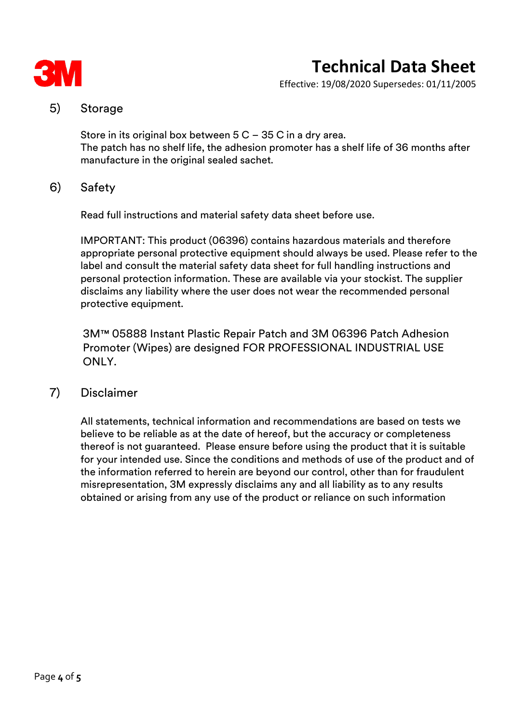

# **Technical Data Sheet**

Effective: 19/08/2020 Supersedes: 01/11/2005

### 5) Storage

Store in its original box between 5 C – 35 C in a dry area. The patch has no shelf life, the adhesion promoter has a shelf life of 36 months after manufacture in the original sealed sachet.

### 6) Safety

Read full instructions and material safety data sheet before use.

IMPORTANT: This product (06396) contains hazardous materials and therefore appropriate personal protective equipment should always be used. Please refer to the label and consult the material safety data sheet for full handling instructions and personal protection information. These are available via your stockist. The supplier disclaims any liability where the user does not wear the recommended personal protective equipment.

3M™ 05888 Instant Plastic Repair Patch and 3M 06396 Patch Adhesion Promoter (Wipes) are designed FOR PROFESSIONAL INDUSTRIAL USE ONLY.

### 7) Disclaimer

All statements, technical information and recommendations are based on tests we believe to be reliable as at the date of hereof, but the accuracy or completeness thereof is not guaranteed. Please ensure before using the product that it is suitable for your intended use. Since the conditions and methods of use of the product and of the information referred to herein are beyond our control, other than for fraudulent misrepresentation, 3M expressly disclaims any and all liability as to any results obtained or arising from any use of the product or reliance on such information